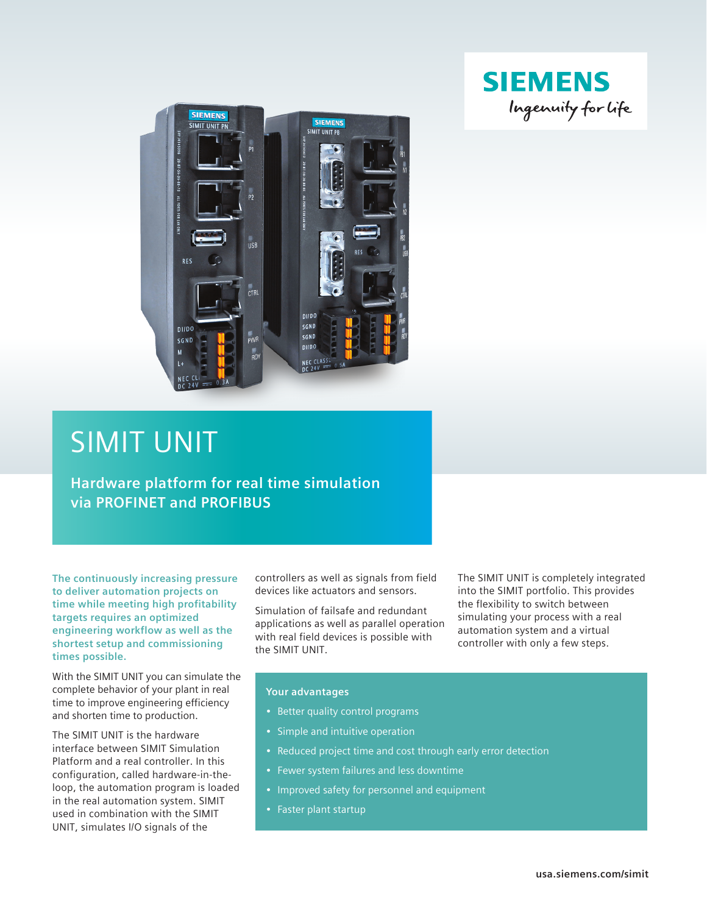



# SIMIT UNIT

**Hardware platform for real time simulation via PROFINET and PROFIBUS**

**The continuously increasing pressure to deliver automation projects on time while meeting high profitability targets requires an optimized engineering workflow as well as the shortest setup and commissioning times possible.**

With the SIMIT UNIT you can simulate the complete behavior of your plant in real time to improve engineering efficiency and shorten time to production.

The SIMIT UNIT is the hardware interface between SIMIT Simulation Platform and a real controller. In this configuration, called hardware-in-theloop, the automation program is loaded in the real automation system. SIMIT used in combination with the SIMIT UNIT, simulates I/O signals of the

controllers as well as signals from field devices like actuators and sensors.

Simulation of failsafe and redundant applications as well as parallel operation with real field devices is possible with the SIMIT UNIT.

The SIMIT UNIT is completely integrated into the SIMIT portfolio. This provides the flexibility to switch between simulating your process with a real automation system and a virtual controller with only a few steps.

## **Your advantages**

- Better quality control programs
- Simple and intuitive operation
- Reduced project time and cost through early error detection
- Fewer system failures and less downtime
- Improved safety for personnel and equipment
- Faster plant startup